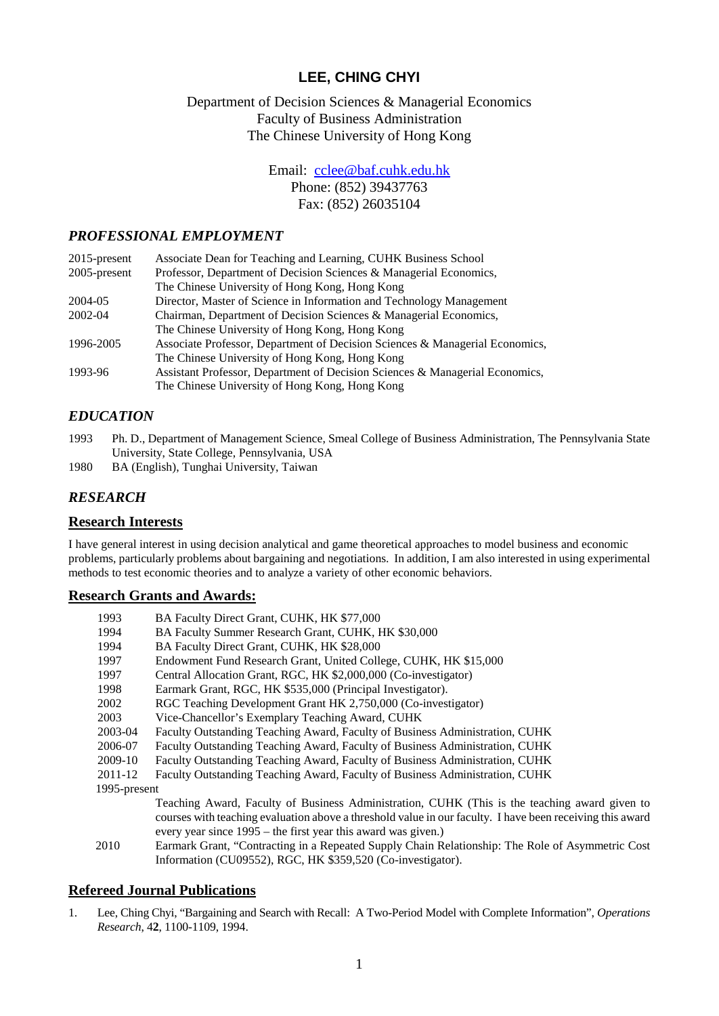# **LEE, CHING CHYI**

## Department of Decision Sciences & Managerial Economics Faculty of Business Administration The Chinese University of Hong Kong

Email: [cclee@baf.cuhk.edu.hk](mailto:cclee@baf.cuhk.edu.hk) Phone: (852) 39437763

Fax: (852) 26035104

### *PROFESSIONAL EMPLOYMENT*

| $2015$ -present | Associate Dean for Teaching and Learning, CUHK Business School               |
|-----------------|------------------------------------------------------------------------------|
| $2005$ -present | Professor, Department of Decision Sciences & Managerial Economics,           |
|                 | The Chinese University of Hong Kong, Hong Kong                               |
| 2004-05         | Director, Master of Science in Information and Technology Management         |
| 2002-04         | Chairman, Department of Decision Sciences & Managerial Economics,            |
|                 | The Chinese University of Hong Kong, Hong Kong                               |
| 1996-2005       | Associate Professor, Department of Decision Sciences & Managerial Economics, |
|                 | The Chinese University of Hong Kong, Hong Kong                               |
| 1993-96         | Assistant Professor, Department of Decision Sciences & Managerial Economics, |
|                 | The Chinese University of Hong Kong, Hong Kong                               |

## *EDUCATION*

- 1993 Ph. D., Department of Management Science, Smeal College of Business Administration, The Pennsylvania State University, State College, Pennsylvania, USA
- 1980 BA (English), Tunghai University, Taiwan

## *RESEARCH*

#### **Research Interests**

I have general interest in using decision analytical and game theoretical approaches to model business and economic problems, particularly problems about bargaining and negotiations. In addition, I am also interested in using experimental methods to test economic theories and to analyze a variety of other economic behaviors.

#### **Research Grants and Awards:**

| 1993         | BA Faculty Direct Grant, CUHK, HK \$77,000                                     |
|--------------|--------------------------------------------------------------------------------|
| 1994         | BA Faculty Summer Research Grant, CUHK, HK \$30,000                            |
| 1994         | BA Faculty Direct Grant, CUHK, HK \$28,000                                     |
| 1997         | Endowment Fund Research Grant, United College, CUHK, HK \$15,000               |
| 1997         | Central Allocation Grant, RGC, HK \$2,000,000 (Co-investigator)                |
| 1998         | Earmark Grant, RGC, HK \$535,000 (Principal Investigator).                     |
| 2002         | RGC Teaching Development Grant HK 2,750,000 (Co-investigator)                  |
| 2003         | Vice-Chancellor's Exemplary Teaching Award, CUHK                               |
| 2003-04      | Faculty Outstanding Teaching Award, Faculty of Business Administration, CUHK   |
| 2006-07      | Faculty Outstanding Teaching Award, Faculty of Business Administration, CUHK   |
| 2009-10      | Faculty Outstanding Teaching Award, Faculty of Business Administration, CUHK   |
| 2011-12      | Faculty Outstanding Teaching Award, Faculty of Business Administration, CUHK   |
| 1995-present |                                                                                |
|              | Teaching Award, Faculty of Business Administration, CHHK (This is the teaching |

- Teaching Award, Faculty of Business Administration, CUHK (This is the teaching award given to courses with teaching evaluation above a threshold value in our faculty. I have been receiving this award every year since 1995 – the first year this award was given.)
- 2010 Earmark Grant, "Contracting in a Repeated Supply Chain Relationship: The Role of Asymmetric Cost Information (CU09552), RGC, HK \$359,520 (Co-investigator).

#### **Refereed Journal Publications**

1. Lee, Ching Chyi, "Bargaining and Search with Recall: A Two-Period Model with Complete Information", *Operations Research*, 4**2**, 1100-1109, 1994.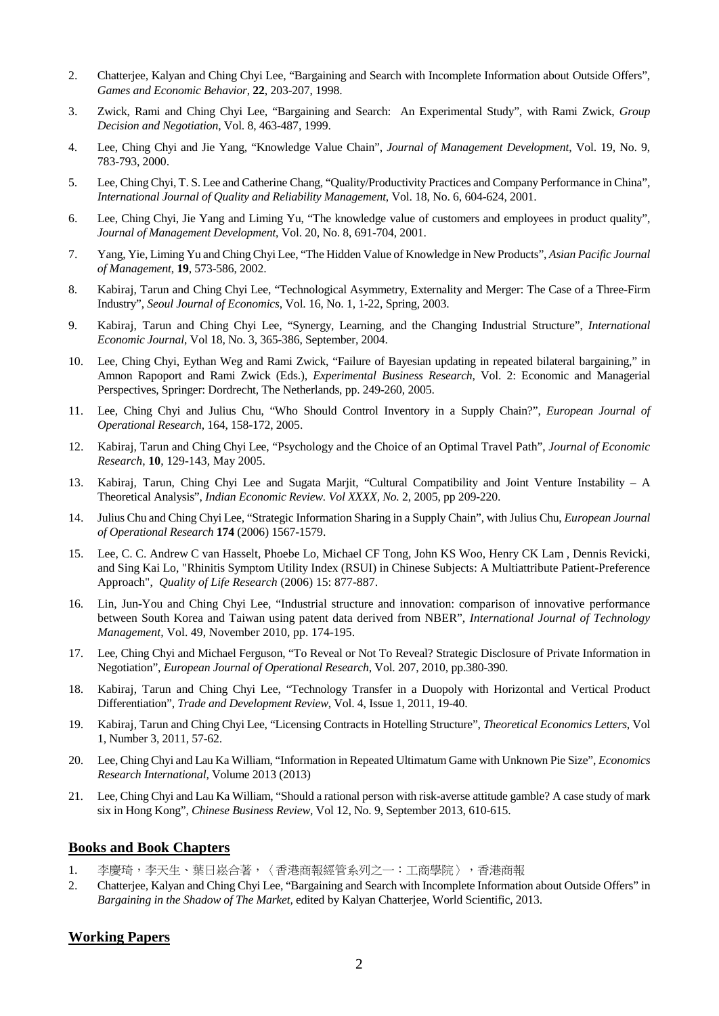- 2. Chatterjee, Kalyan and Ching Chyi Lee, "Bargaining and Search with Incomplete Information about Outside Offers", *Games and Economic Behavior*, **22**, 203-207, 1998.
- 3. Zwick, Rami and Ching Chyi Lee, "Bargaining and Search: An Experimental Study", with Rami Zwick, *Group Decision and Negotiation*, Vol. 8, 463-487, 1999.
- 4. Lee, Ching Chyi and Jie Yang, "Knowledge Value Chain", *Journal of Management Development*, Vol. 19, No. 9, 783-793, 2000.
- 5. Lee, Ching Chyi, T. S. Lee and Catherine Chang, "Quality/Productivity Practices and Company Performance in China", *International Journal of Quality and Reliability Management*, Vol. 18, No. 6, 604-624, 2001.
- 6. Lee, Ching Chyi, Jie Yang and Liming Yu, "The knowledge value of customers and employees in product quality", *Journal of Management Development*, Vol. 20, No. 8, 691-704, 2001.
- 7. Yang, Yie, Liming Yu and Ching Chyi Lee, "The Hidden Value of Knowledge in New Products", *Asian Pacific Journal of Management*, **19**, 573-586, 2002.
- 8. Kabiraj, Tarun and Ching Chyi Lee, "Technological Asymmetry, Externality and Merger: The Case of a Three-Firm Industry", *Seoul Journal of Economics*, Vol. 16, No. 1, 1-22, Spring, 2003.
- 9. Kabiraj, Tarun and Ching Chyi Lee, "Synergy, Learning, and the Changing Industrial Structure", *International Economic Journal*, Vol 18, No. 3, 365-386, September, 2004.
- 10. Lee, Ching Chyi, Eythan Weg and Rami Zwick, "Failure of Bayesian updating in repeated bilateral bargaining," in Amnon Rapoport and Rami Zwick (Eds.), *Experimental Business Research*, Vol. 2: Economic and Managerial Perspectives, Springer: Dordrecht, The Netherlands, pp. 249-260, 2005.
- 11. Lee, Ching Chyi and Julius Chu, "Who Should Control Inventory in a Supply Chain?", *European Journal of Operational Research*, 164, 158-172, 2005.
- 12. Kabiraj, Tarun and Ching Chyi Lee, "Psychology and the Choice of an Optimal Travel Path", *Journal of Economic Research*, **10**, 129-143, May 2005.
- 13. Kabiraj, Tarun, Ching Chyi Lee and Sugata Marjit, "Cultural Compatibility and Joint Venture Instability A Theoretical Analysis", *Indian Economic Review. Vol XXXX, No.* 2, 2005, pp 209-220.
- 14. Julius Chu and Ching Chyi Lee, "Strategic Information Sharing in a Supply Chain", with Julius Chu, *European Journal of Operational Research* **174** (2006) 1567-1579.
- 15. Lee, C. C. Andrew C van Hasselt, Phoebe Lo, Michael CF Tong, John KS Woo, Henry CK Lam , Dennis Revicki, and Sing Kai Lo, "Rhinitis Symptom Utility Index (RSUI) in Chinese Subjects: A Multiattribute Patient-Preference Approach", *Quality of Life Research* (2006) 15: 877-887.
- 16. Lin, Jun-You and Ching Chyi Lee, "Industrial structure and innovation: comparison of innovative performance between South Korea and Taiwan using patent data derived from NBER", *International Journal of Technology Management,* Vol. 49, November 2010, pp. 174-195.
- 17. Lee, Ching Chyi and Michael Ferguson, "To Reveal or Not To Reveal? Strategic Disclosure of Private Information in Negotiation", *European Journal of Operational Research*, Vol. 207, 2010, pp.380-390*.*
- 18. Kabiraj, Tarun and Ching Chyi Lee, "Technology Transfer in a Duopoly with Horizontal and Vertical Product Differentiation", *Trade and Development Review*, Vol. 4, Issue 1, 2011, 19-40.
- 19. Kabiraj, Tarun and Ching Chyi Lee, "Licensing Contracts in Hotelling Structure", *Theoretical Economics Letters*, Vol 1, Number 3, 2011, 57-62.
- 20. Lee, Ching Chyi and Lau Ka William, "Information in Repeated Ultimatum Game with Unknown Pie Size", *Economics Research International,* Volume 2013 (2013)
- 21. Lee, Ching Chyi and Lau Ka William, "Should a rational person with risk-averse attitude gamble? A case study of mark six in Hong Kong", *Chinese Business Review*, Vol 12, No. 9, September 2013, 610-615.

### **Books and Book Chapters**

- 1. 李慶琦,李天生、葉日崧合著,〈香港商報經管系列之一:工商學院〉,香港商報
- 2. Chatterjee, Kalyan and Ching Chyi Lee, "Bargaining and Search with Incomplete Information about Outside Offers" in *Bargaining in the Shadow of The Market,* edited by Kalyan Chatterjee, World Scientific, 2013.

#### **Working Papers**